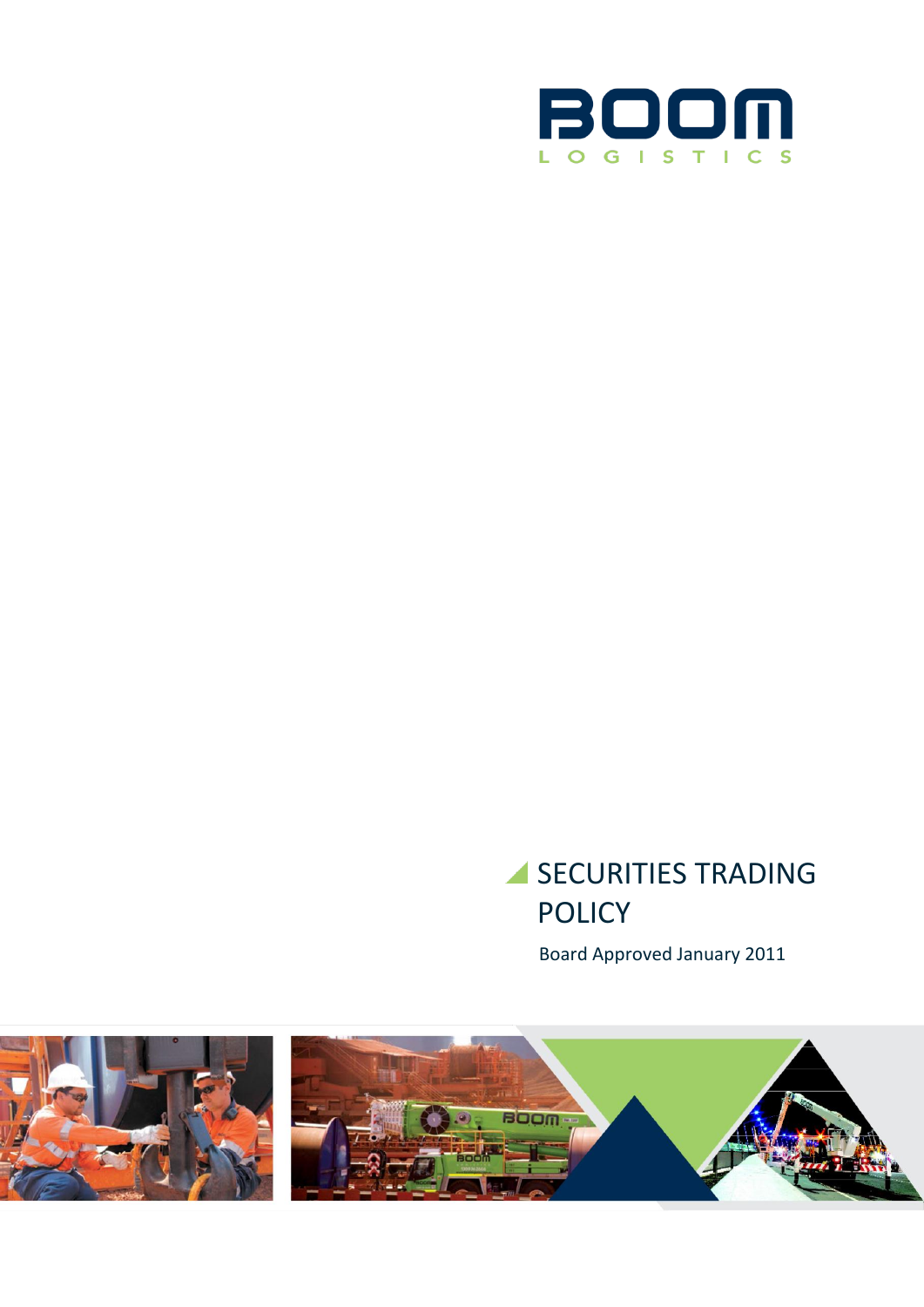

# SECURITIES TRADING POLICY

Board Approved January 2011

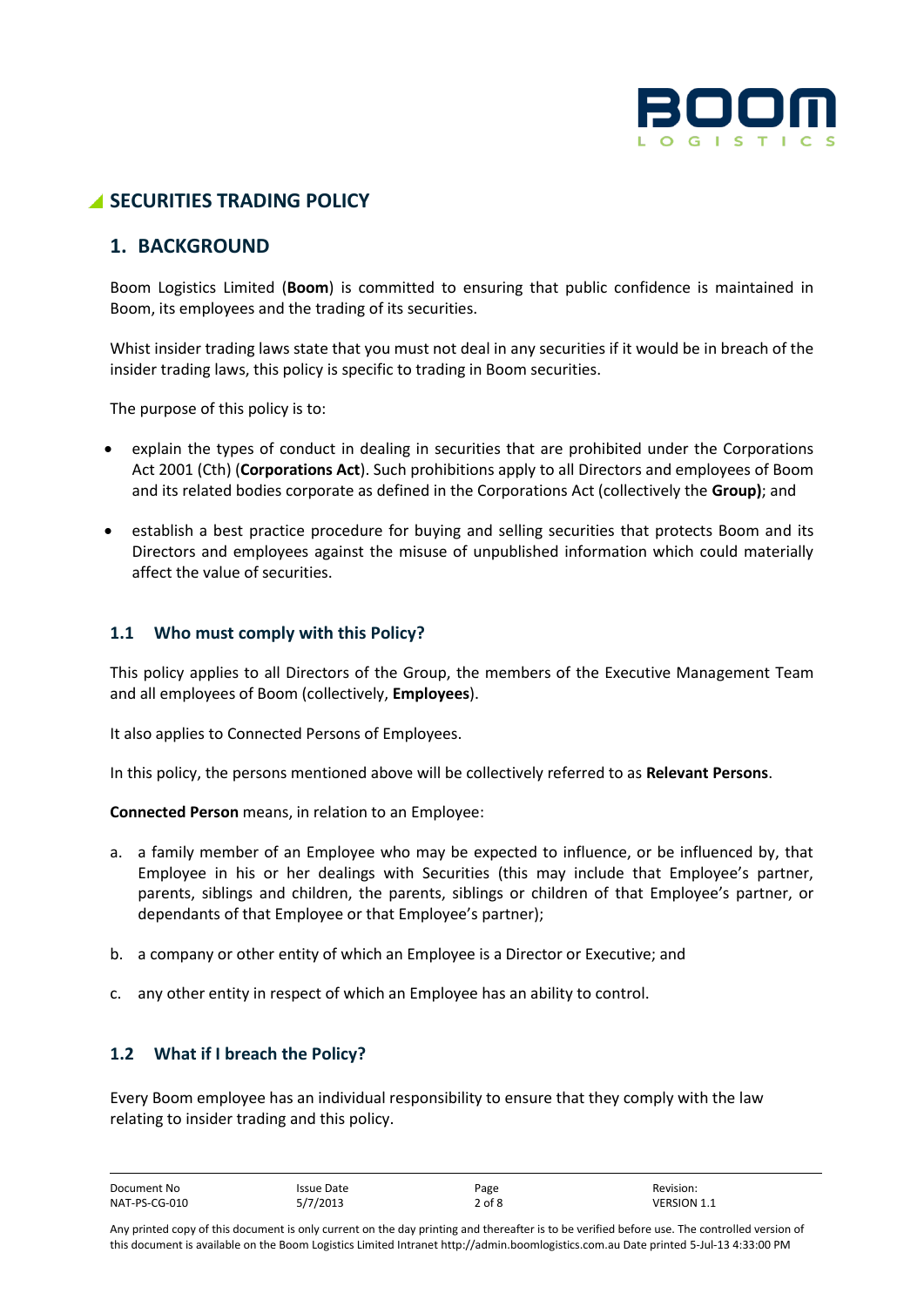

# **SECURITIES TRADING POLICY**

# **1. BACKGROUND**

Boom Logistics Limited (**Boom**) is committed to ensuring that public confidence is maintained in Boom, its employees and the trading of its securities.

Whist insider trading laws state that you must not deal in any securities if it would be in breach of the insider trading laws, this policy is specific to trading in Boom securities.

The purpose of this policy is to:

- explain the types of conduct in dealing in securities that are prohibited under the Corporations Act 2001 (Cth) (**Corporations Act**). Such prohibitions apply to all Directors and employees of Boom and its related bodies corporate as defined in the Corporations Act (collectively the **Group)**; and
- establish a best practice procedure for buying and selling securities that protects Boom and its Directors and employees against the misuse of unpublished information which could materially affect the value of securities.

# **1.1 Who must comply with this Policy?**

This policy applies to all Directors of the Group, the members of the Executive Management Team and all employees of Boom (collectively, **Employees**).

It also applies to Connected Persons of Employees.

In this policy, the persons mentioned above will be collectively referred to as **Relevant Persons**.

**Connected Person** means, in relation to an Employee:

- a. a family member of an Employee who may be expected to influence, or be influenced by, that Employee in his or her dealings with Securities (this may include that Employee's partner, parents, siblings and children, the parents, siblings or children of that Employee's partner, or dependants of that Employee or that Employee's partner);
- b. a company or other entity of which an Employee is a Director or Executive; and
- c. any other entity in respect of which an Employee has an ability to control.

# **1.2 What if I breach the Policy?**

Every Boom employee has an individual responsibility to ensure that they comply with the law relating to insider trading and this policy.

| Document No   | Issue Date | Page       | Revision:          |
|---------------|------------|------------|--------------------|
| NAT-PS-CG-010 | 5/7/2013   | $2$ of $8$ | <b>VERSION 1.1</b> |

Any printed copy of this document is only current on the day printing and thereafter is to be verified before use. The controlled version of this document is available on the Boom Logistics Limited Intranet http://admin.boomlogistics.com.au Date printed 5-Jul-13 4:33:00 PM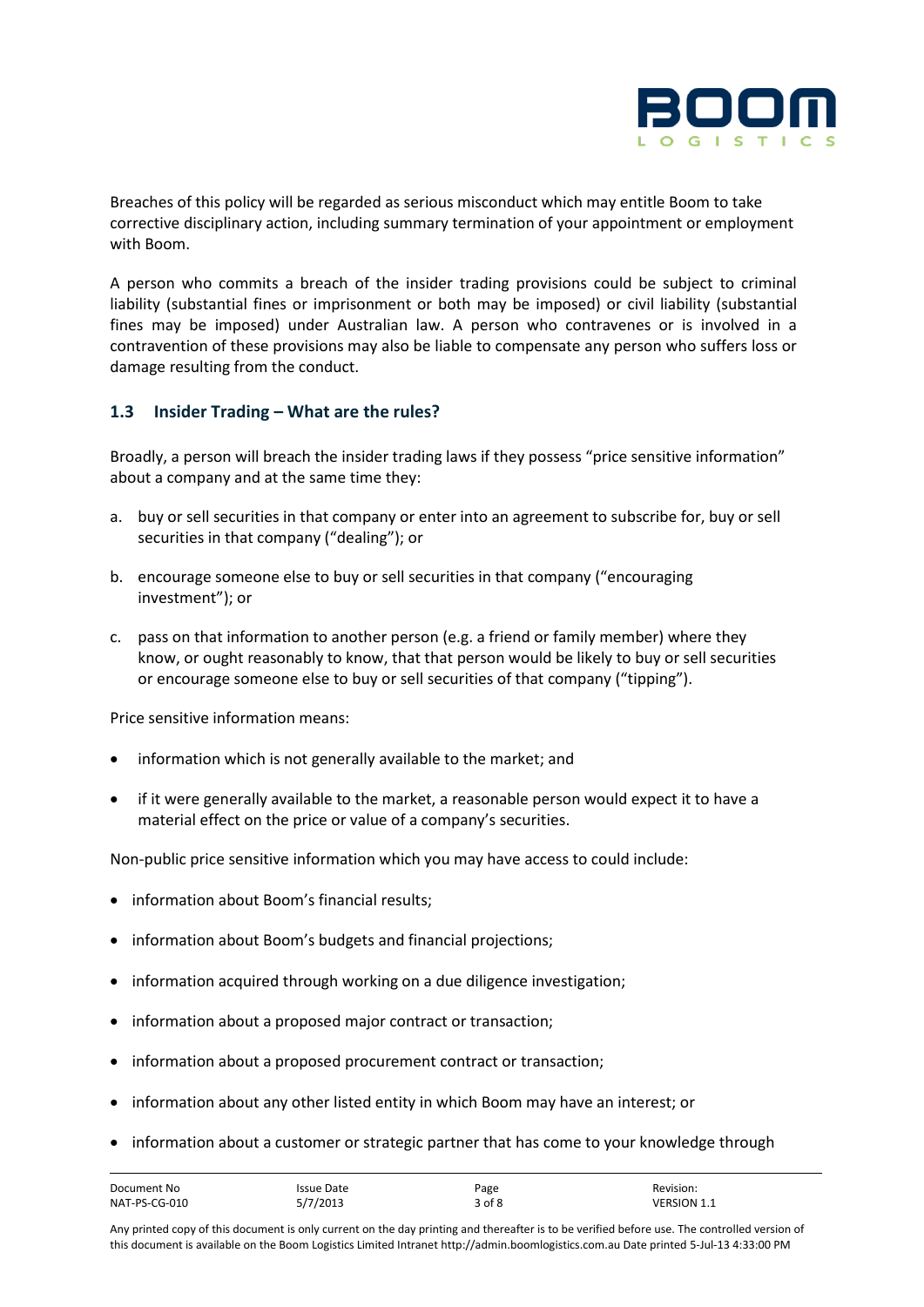

Breaches of this policy will be regarded as serious misconduct which may entitle Boom to take corrective disciplinary action, including summary termination of your appointment or employment with Boom.

A person who commits a breach of the insider trading provisions could be subject to criminal liability (substantial fines or imprisonment or both may be imposed) or civil liability (substantial fines may be imposed) under Australian law. A person who contravenes or is involved in a contravention of these provisions may also be liable to compensate any person who suffers loss or damage resulting from the conduct.

# **1.3 Insider Trading – What are the rules?**

Broadly, a person will breach the insider trading laws if they possess "price sensitive information" about a company and at the same time they:

- a. buy or sell securities in that company or enter into an agreement to subscribe for, buy or sell securities in that company ("dealing"); or
- b. encourage someone else to buy or sell securities in that company ("encouraging investment"); or
- c. pass on that information to another person (e.g. a friend or family member) where they know, or ought reasonably to know, that that person would be likely to buy or sell securities or encourage someone else to buy or sell securities of that company ("tipping").

Price sensitive information means:

- information which is not generally available to the market; and
- if it were generally available to the market, a reasonable person would expect it to have a material effect on the price or value of a company's securities.

Non-public price sensitive information which you may have access to could include:

- information about Boom's financial results;
- information about Boom's budgets and financial projections;
- information acquired through working on a due diligence investigation;
- information about a proposed major contract or transaction;
- information about a proposed procurement contract or transaction;
- information about any other listed entity in which Boom may have an interest; or
- information about a customer or strategic partner that has come to your knowledge through

| Document No   | Issue Date | Page   | Revision:          |
|---------------|------------|--------|--------------------|
| NAT-PS-CG-010 | 5/7/2013   | 3 of 8 | <b>VERSION 1.1</b> |

Any printed copy of this document is only current on the day printing and thereafter is to be verified before use. The controlled version of this document is available on the Boom Logistics Limited Intranet http://admin.boomlogistics.com.au Date printed 5-Jul-13 4:33:00 PM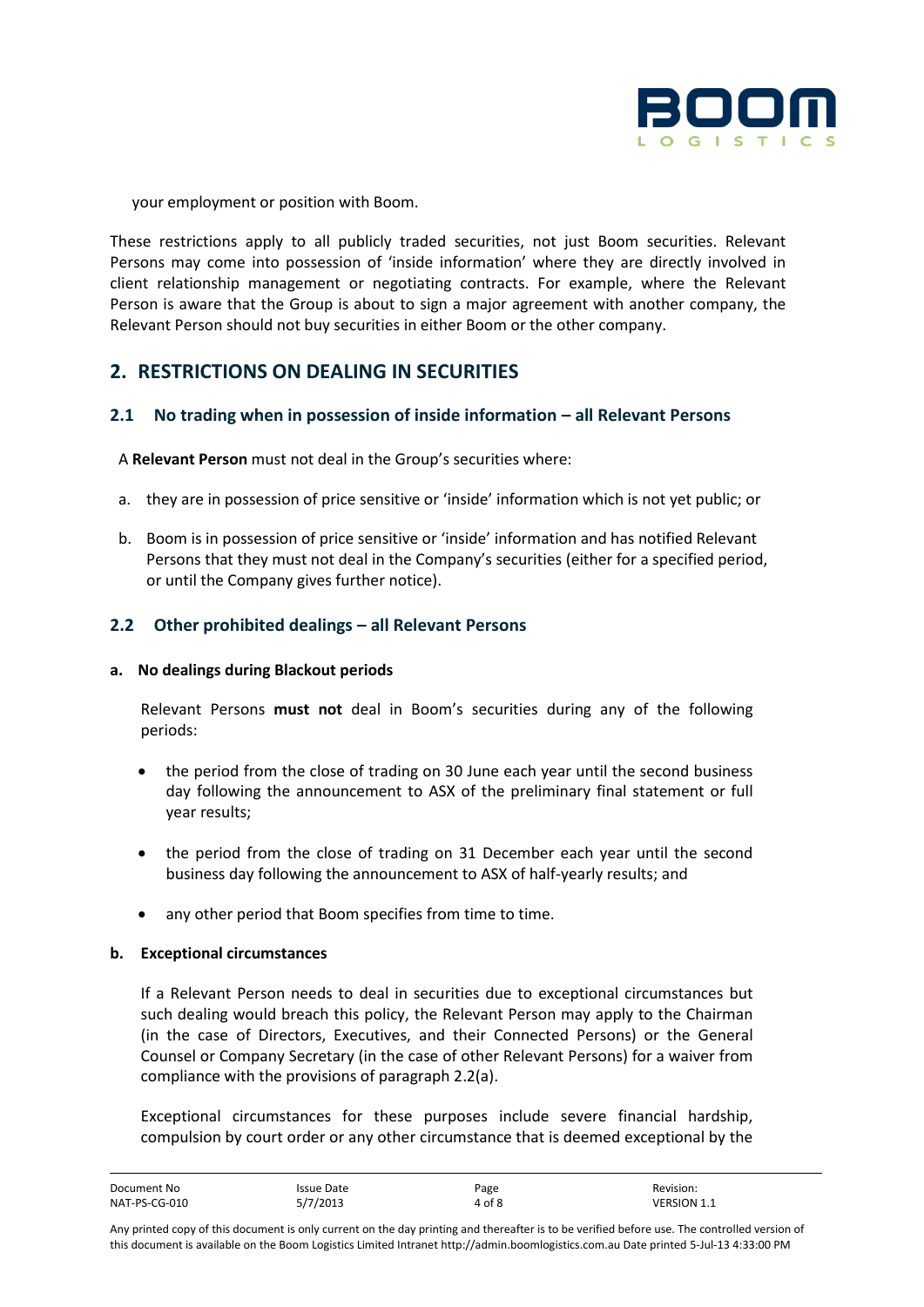

your employment or position with Boom.

These restrictions apply to all publicly traded securities, not just Boom securities. Relevant Persons may come into possession of 'inside information' where they are directly involved in client relationship management or negotiating contracts. For example, where the Relevant Person is aware that the Group is about to sign a major agreement with another company, the Relevant Person should not buy securities in either Boom or the other company.

# **2. RESTRICTIONS ON DEALING IN SECURITIES**

#### **2.1 No trading when in possession of inside information – all Relevant Persons**

A **Relevant Person** must not deal in the Group's securities where:

- a. they are in possession of price sensitive or 'inside' information which is not yet public; or
- b. Boom is in possession of price sensitive or 'inside' information and has notified Relevant Persons that they must not deal in the Company's securities (either for a specified period, or until the Company gives further notice).

#### **2.2 Other prohibited dealings – all Relevant Persons**

#### **a. No dealings during Blackout periods**

Relevant Persons **must not** deal in Boom's securities during any of the following periods:

- the period from the close of trading on 30 June each year until the second business day following the announcement to ASX of the preliminary final statement or full year results;
- the period from the close of trading on 31 December each year until the second business day following the announcement to ASX of half-yearly results; and
- any other period that Boom specifies from time to time.

#### **b. Exceptional circumstances**

If a Relevant Person needs to deal in securities due to exceptional circumstances but such dealing would breach this policy, the Relevant Person may apply to the Chairman (in the case of Directors, Executives, and their Connected Persons) or the General Counsel or Company Secretary (in the case of other Relevant Persons) for a waiver from compliance with the provisions of paragraph 2.2(a).

Exceptional circumstances for these purposes include severe financial hardship, compulsion by court order or any other circumstance that is deemed exceptional by the

| Document No   | Issue Date | Page   | Revision:          |
|---------------|------------|--------|--------------------|
| NAT-PS-CG-010 | 5/7/2013   | 4 of 8 | <b>VERSION 1.1</b> |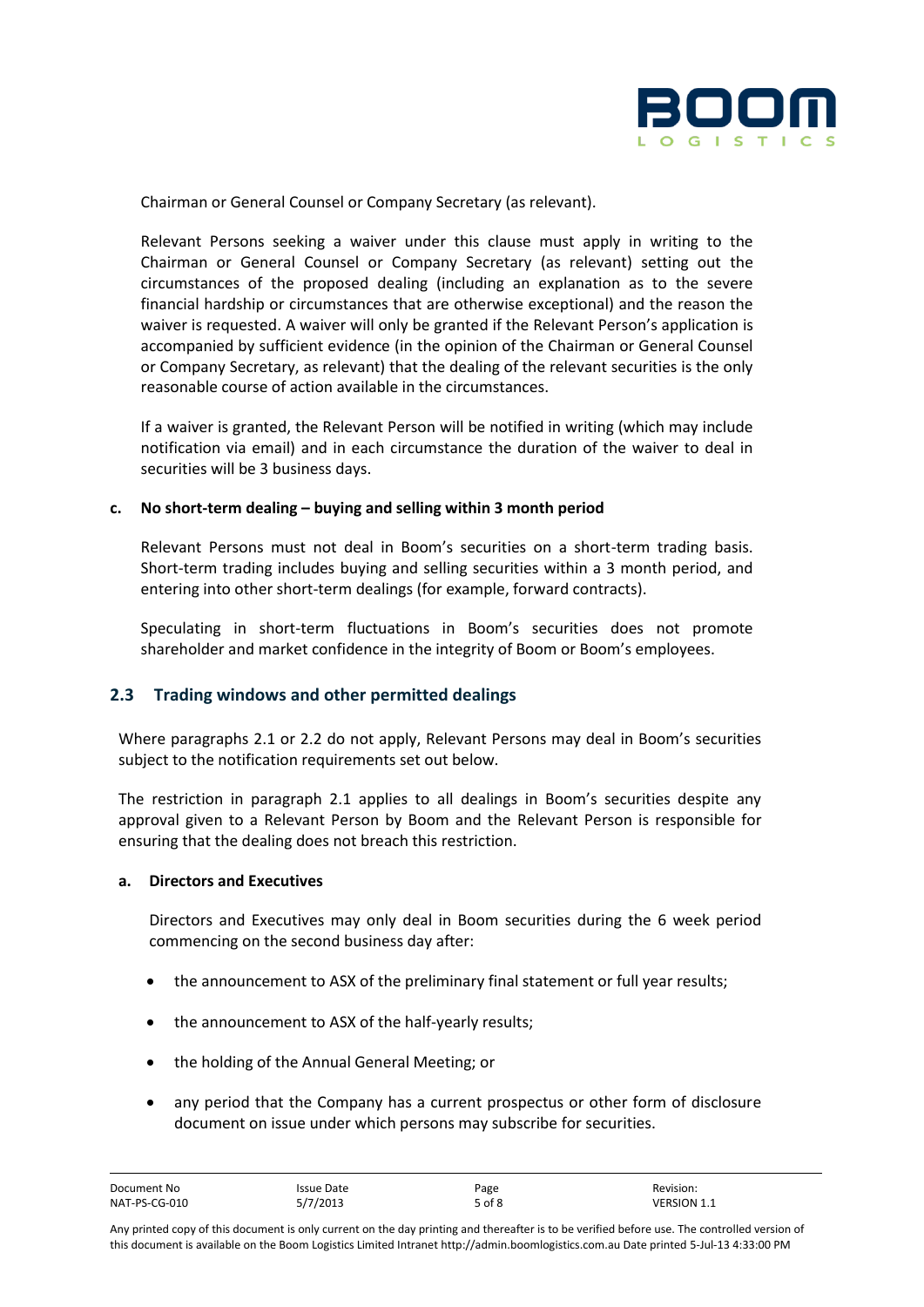

Chairman or General Counsel or Company Secretary (as relevant).

Relevant Persons seeking a waiver under this clause must apply in writing to the Chairman or General Counsel or Company Secretary (as relevant) setting out the circumstances of the proposed dealing (including an explanation as to the severe financial hardship or circumstances that are otherwise exceptional) and the reason the waiver is requested. A waiver will only be granted if the Relevant Person's application is accompanied by sufficient evidence (in the opinion of the Chairman or General Counsel or Company Secretary, as relevant) that the dealing of the relevant securities is the only reasonable course of action available in the circumstances.

If a waiver is granted, the Relevant Person will be notified in writing (which may include notification via email) and in each circumstance the duration of the waiver to deal in securities will be 3 business days.

#### **c. No short-term dealing – buying and selling within 3 month period**

Relevant Persons must not deal in Boom's securities on a short-term trading basis. Short-term trading includes buying and selling securities within a 3 month period, and entering into other short-term dealings (for example, forward contracts).

Speculating in short-term fluctuations in Boom's securities does not promote shareholder and market confidence in the integrity of Boom or Boom's employees.

## **2.3 Trading windows and other permitted dealings**

Where paragraphs 2.1 or 2.2 do not apply, Relevant Persons may deal in Boom's securities subject to the notification requirements set out below.

The restriction in paragraph 2.1 applies to all dealings in Boom's securities despite any approval given to a Relevant Person by Boom and the Relevant Person is responsible for ensuring that the dealing does not breach this restriction.

#### **a. Directors and Executives**

Directors and Executives may only deal in Boom securities during the 6 week period commencing on the second business day after:

- the announcement to ASX of the preliminary final statement or full year results;
- the announcement to ASX of the half-yearly results;
- the holding of the Annual General Meeting; or
- any period that the Company has a current prospectus or other form of disclosure document on issue under which persons may subscribe for securities.

| Document No   | Issue Date | Page   | Revision:          |
|---------------|------------|--------|--------------------|
| NAT-PS-CG-010 | 5/7/2013   | 5 of 8 | <b>VERSION 1.1</b> |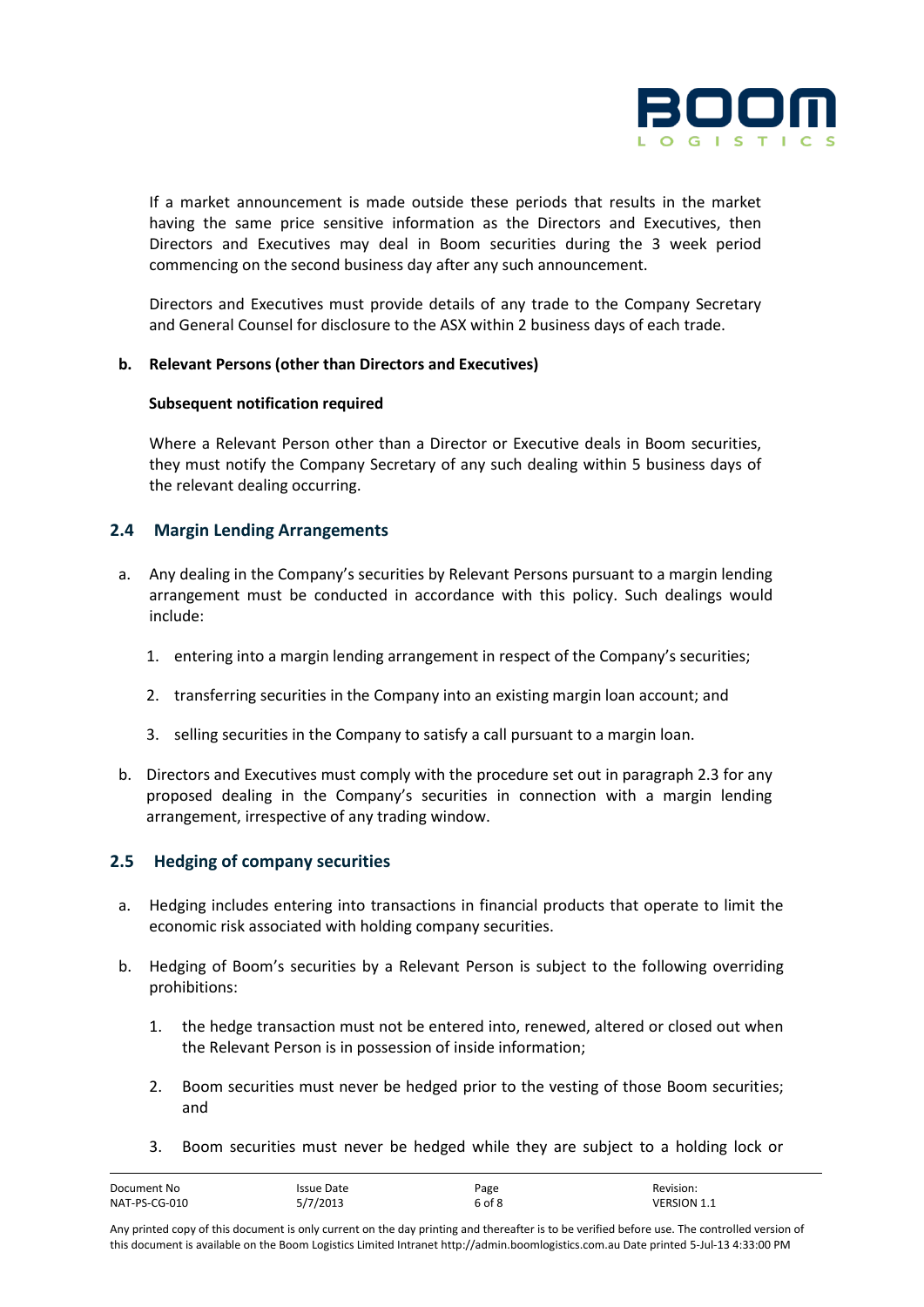

If a market announcement is made outside these periods that results in the market having the same price sensitive information as the Directors and Executives, then Directors and Executives may deal in Boom securities during the 3 week period commencing on the second business day after any such announcement.

Directors and Executives must provide details of any trade to the Company Secretary and General Counsel for disclosure to the ASX within 2 business days of each trade.

#### **b. Relevant Persons (other than Directors and Executives)**

#### **Subsequent notification required**

Where a Relevant Person other than a Director or Executive deals in Boom securities, they must notify the Company Secretary of any such dealing within 5 business days of the relevant dealing occurring.

## **2.4 Margin Lending Arrangements**

- a. Any dealing in the Company's securities by Relevant Persons pursuant to a margin lending arrangement must be conducted in accordance with this policy. Such dealings would include:
	- 1. entering into a margin lending arrangement in respect of the Company's securities;
	- 2. transferring securities in the Company into an existing margin loan account; and
	- 3. selling securities in the Company to satisfy a call pursuant to a margin loan.
- b. Directors and Executives must comply with the procedure set out in paragraph 2.3 for any proposed dealing in the Company's securities in connection with a margin lending arrangement, irrespective of any trading window.

## **2.5 Hedging of company securities**

- a. Hedging includes entering into transactions in financial products that operate to limit the economic risk associated with holding company securities.
- b. Hedging of Boom's securities by a Relevant Person is subject to the following overriding prohibitions:
	- 1. the hedge transaction must not be entered into, renewed, altered or closed out when the Relevant Person is in possession of inside information;
	- 2. Boom securities must never be hedged prior to the vesting of those Boom securities; and
	- 3. Boom securities must never be hedged while they are subject to a holding lock or

| Document No   | Issue Date | Page   | Revision:          |
|---------------|------------|--------|--------------------|
| NAT-PS-CG-010 | 5/7/2013   | 6 of 8 | <b>VERSION 1.1</b> |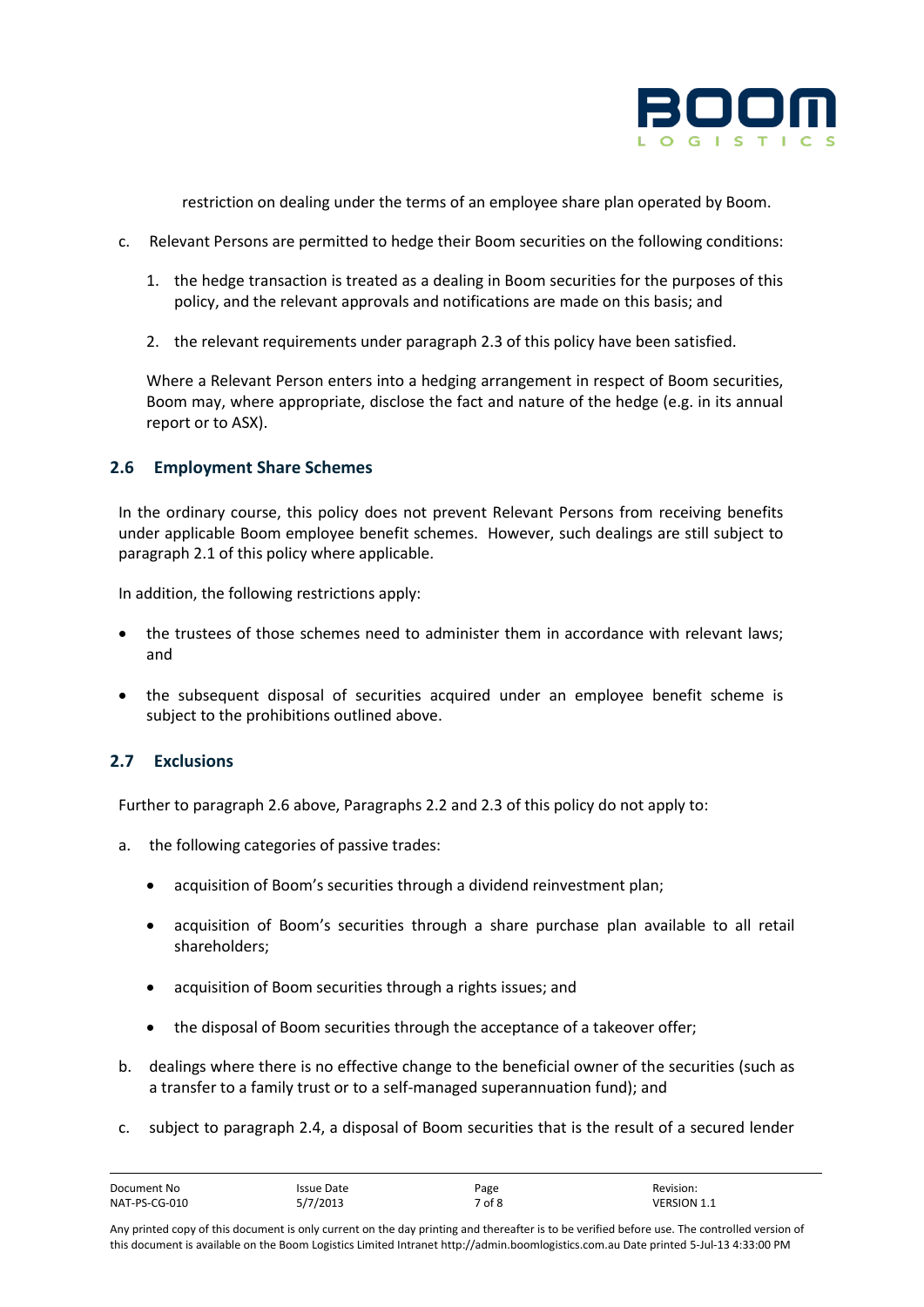

restriction on dealing under the terms of an employee share plan operated by Boom.

- c. Relevant Persons are permitted to hedge their Boom securities on the following conditions:
	- 1. the hedge transaction is treated as a dealing in Boom securities for the purposes of this policy, and the relevant approvals and notifications are made on this basis; and
	- 2. the relevant requirements under paragraph 2.3 of this policy have been satisfied.

Where a Relevant Person enters into a hedging arrangement in respect of Boom securities, Boom may, where appropriate, disclose the fact and nature of the hedge (e.g. in its annual report or to ASX).

# **2.6 Employment Share Schemes**

In the ordinary course, this policy does not prevent Relevant Persons from receiving benefits under applicable Boom employee benefit schemes. However, such dealings are still subject to paragraph 2.1 of this policy where applicable.

In addition, the following restrictions apply:

- the trustees of those schemes need to administer them in accordance with relevant laws; and
- the subsequent disposal of securities acquired under an employee benefit scheme is subject to the prohibitions outlined above.

# **2.7 Exclusions**

Further to paragraph 2.6 above, Paragraphs 2.2 and 2.3 of this policy do not apply to:

- a. the following categories of passive trades:
	- acquisition of Boom's securities through a dividend reinvestment plan;
	- acquisition of Boom's securities through a share purchase plan available to all retail shareholders;
	- acquisition of Boom securities through a rights issues; and
	- the disposal of Boom securities through the acceptance of a takeover offer;
- b. dealings where there is no effective change to the beneficial owner of the securities (such as a transfer to a family trust or to a self-managed superannuation fund); and
- c. subject to paragraph 2.4, a disposal of Boom securities that is the result of a secured lender

| Document No   | <b>Issue Date</b> | Page   | Revision:          |
|---------------|-------------------|--------|--------------------|
| NAT-PS-CG-010 | 5/7/2013          | 7 of 8 | <b>VERSION 1.1</b> |